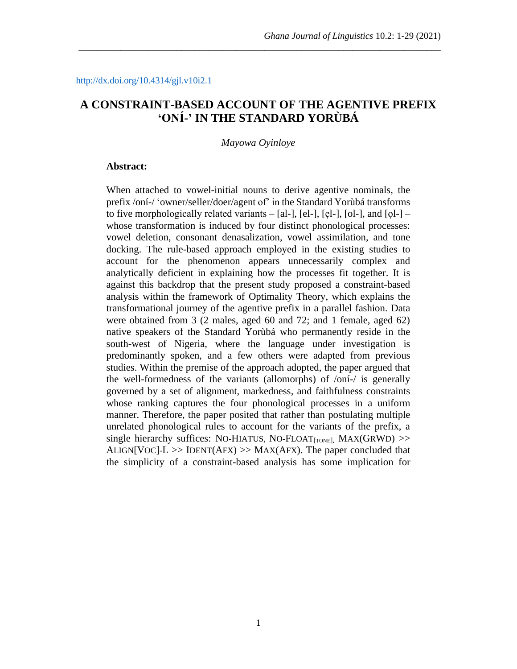# **A CONSTRAINT-BASED ACCOUNT OF THE AGENTIVE PREFIX 'ONÍ-' IN THE STANDARD YORÙBÁ**

\_\_\_\_\_\_\_\_\_\_\_\_\_\_\_\_\_\_\_\_\_\_\_\_\_\_\_\_\_\_\_\_\_\_\_\_\_\_\_\_\_\_\_\_\_\_\_\_\_\_\_\_\_\_\_\_\_\_\_\_\_\_\_\_\_\_\_\_\_\_\_\_\_\_\_\_\_\_

*Mayowa Oyinloye*

#### **Abstract:**

When attached to vowel-initial nouns to derive agentive nominals, the prefix /oní-/ 'owner/seller/doer/agent of' in the Standard Yorùbá transforms to five morphologically related variants  $-$  [al-], [el-], [el-], [ol-], and [ol-]  $$ whose transformation is induced by four distinct phonological processes: vowel deletion, consonant denasalization, vowel assimilation, and tone docking. The rule-based approach employed in the existing studies to account for the phenomenon appears unnecessarily complex and analytically deficient in explaining how the processes fit together. It is against this backdrop that the present study proposed a constraint-based analysis within the framework of Optimality Theory, which explains the transformational journey of the agentive prefix in a parallel fashion. Data were obtained from 3 (2 males, aged 60 and 72; and 1 female, aged 62) native speakers of the Standard Yorùbá who permanently reside in the south-west of Nigeria, where the language under investigation is predominantly spoken, and a few others were adapted from previous studies. Within the premise of the approach adopted, the paper argued that the well-formedness of the variants (allomorphs) of /oní-/ is generally governed by a set of alignment, markedness, and faithfulness constraints whose ranking captures the four phonological processes in a uniform manner. Therefore, the paper posited that rather than postulating multiple unrelated phonological rules to account for the variants of the prefix, a single hierarchy suffices: NO-HIATUS, NO-FLOAT $_{[TONE]}$ , MAX $(GRWD)$  >> ALIGN[VOC]- $L \gg$  IDENT(AFX)  $\gg$  MAX(AFX). The paper concluded that the simplicity of a constraint-based analysis has some implication for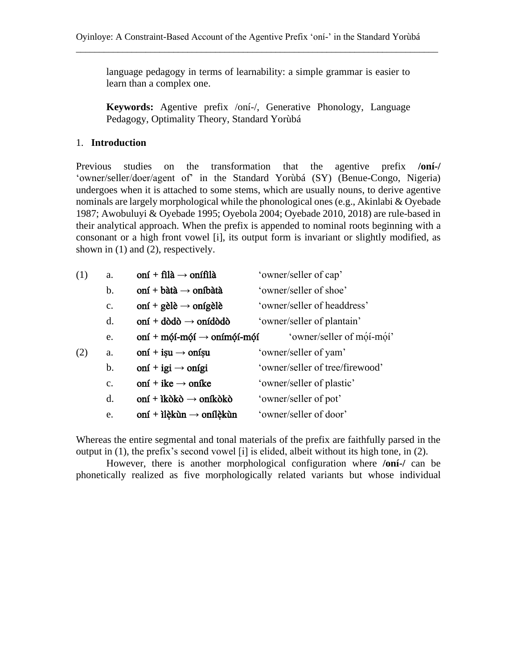language pedagogy in terms of learnability: a simple grammar is easier to learn than a complex one.

\_\_\_\_\_\_\_\_\_\_\_\_\_\_\_\_\_\_\_\_\_\_\_\_\_\_\_\_\_\_\_\_\_\_\_\_\_\_\_\_\_\_\_\_\_\_\_\_\_\_\_\_\_\_\_\_\_\_\_\_\_\_\_\_\_\_\_\_\_\_\_\_\_\_\_\_\_\_

**Keywords:** Agentive prefix /oní-/, Generative Phonology, Language Pedagogy, Optimality Theory, Standard Yorùbá

### 1. **Introduction**

Previous studies on the transformation that the agentive prefix **/oní-/** 'owner/seller/doer/agent of' in the Standard Yorùbá (SY) (Benue-Congo, Nigeria) undergoes when it is attached to some stems, which are usually nouns, to derive agentive nominals are largely morphological while the phonological ones (e.g., Akinlabi & Oyebade 1987; Awobuluyi & Oyebade 1995; Oyebola 2004; Oyebade 2010, 2018) are rule-based in their analytical approach. When the prefix is appended to nominal roots beginning with a consonant or a high front vowel [i], its output form is invariant or slightly modified, as shown in (1) and (2), respectively.

| (1) | a.            | oní + filà $\rightarrow$ onífilà       | 'owner/seller of cap'           |
|-----|---------------|----------------------------------------|---------------------------------|
|     | b.            | oní + bàtà $\rightarrow$ oníbàtà       | 'owner/seller of shoe'          |
|     | c.            | oní + gèlè $\rightarrow$ onígèlè       | 'owner/seller of headdress'     |
|     | d.            | oní + dòdò $\rightarrow$ onídòdò       | 'owner/seller of plantain'      |
|     | e.            | oní + mói-mói $\rightarrow$ onímói-mói | 'owner/seller of mói-mói'       |
| (2) | a.            | oní + isu $\rightarrow$ onísu          | 'owner/seller of yam'           |
|     | b.            | oní + igi $\rightarrow$ onígi          | 'owner/seller of tree/firewood' |
|     | $C_{\bullet}$ | oní + ike $\rightarrow$ oníke          | 'owner/seller of plastic'       |
|     | d.            | oní + ìkòkò $\rightarrow$ oníkòkò      | 'owner/seller of pot'           |
|     | e.            | oní + ilèkùn $\rightarrow$ onílèkùn    | 'owner/seller of door'          |

Whereas the entire segmental and tonal materials of the prefix are faithfully parsed in the output in (1), the prefix's second vowel [i] is elided, albeit without its high tone, in (2).

However, there is another morphological configuration where **/oní-/** can be phonetically realized as five morphologically related variants but whose individual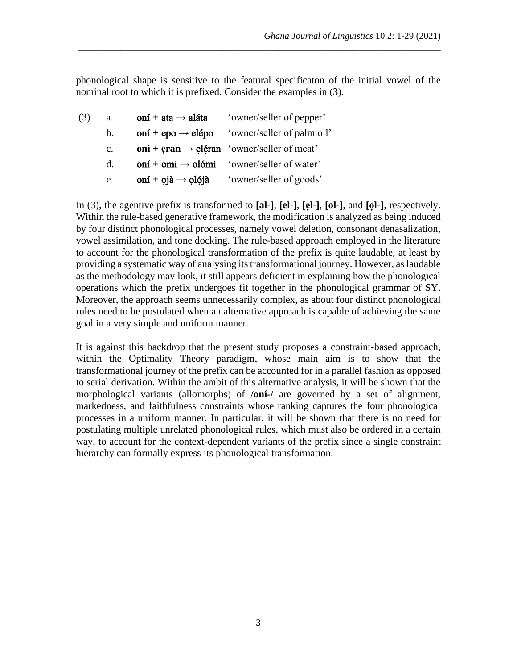phonological shape is sensitive to the featural specificaton of the initial vowel of the nominal root to which it is prefixed. Consider the examples in (3).

\_\_\_\_\_\_\_\_\_\_\_\_\_\_\_\_\_\_\_\_\_\_\_\_\_\_\_\_\_\_\_\_\_\_\_\_\_\_\_\_\_\_\_\_\_\_\_\_\_\_\_\_\_\_\_\_\_\_\_\_\_\_\_\_\_\_\_\_\_\_\_\_\_\_\_\_\_\_

(3) a.  $\text{on} \mathbf{i} + \text{ata} \rightarrow \text{alá} \mathbf{t} \mathbf{a}$  'owner/seller of pepper' b.  $\text{on} \mathbf{i} + \text{epo} \rightarrow \text{elépo}$  'owner/seller of palm oil' c. **oní + eran**  $\rightarrow$  **eléran** 'owner/seller of meat' d.  $\text{on} \mathbf{i} + \text{om} \mathbf{i} \rightarrow \text{ol} \mathbf{6} \mathbf{m} \mathbf{i}$  'owner/seller of water' e. oní **+** ọjà **→** ọlọ́jà 'owner/seller of goods'

In (3), the agentive prefix is transformed to **[al-]**, **[el-]**, **[ẹl-]**, **[ol-]**, and **[ọl-]**, respectively. Within the rule-based generative framework, the modification is analyzed as being induced by four distinct phonological processes, namely vowel deletion, consonant denasalization, vowel assimilation, and tone docking. The rule-based approach employed in the literature to account for the phonological transformation of the prefix is quite laudable, at least by providing a systematic way of analysing its transformational journey. However, as laudable as the methodology may look, it still appears deficient in explaining how the phonological operations which the prefix undergoes fit together in the phonological grammar of SY. Moreover, the approach seems unnecessarily complex, as about four distinct phonological rules need to be postulated when an alternative approach is capable of achieving the same goal in a very simple and uniform manner.

It is against this backdrop that the present study proposes a constraint-based approach, within the Optimality Theory paradigm, whose main aim is to show that the transformational journey of the prefix can be accounted for in a parallel fashion as opposed to serial derivation. Within the ambit of this alternative analysis, it will be shown that the morphological variants (allomorphs) of **/oní-/** are governed by a set of alignment, markedness, and faithfulness constraints whose ranking captures the four phonological processes in a uniform manner. In particular, it will be shown that there is no need for postulating multiple unrelated phonological rules, which must also be ordered in a certain way, to account for the context-dependent variants of the prefix since a single constraint hierarchy can formally express its phonological transformation.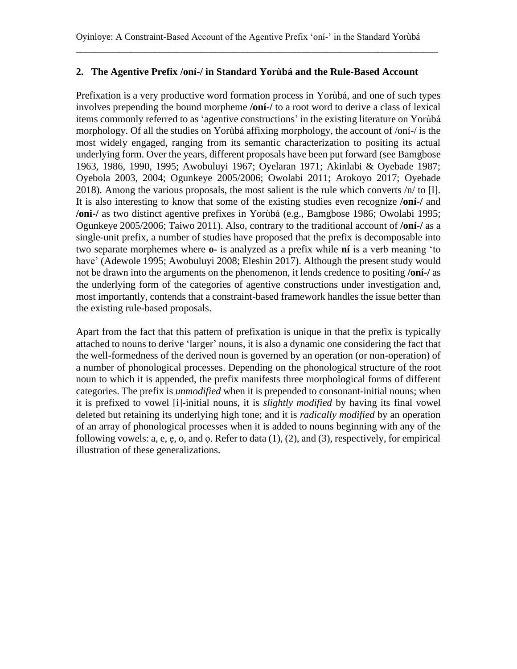## **2. The Agentive Prefix /oní-/ in Standard Yorùbá and the Rule-Based Account**

Prefixation is a very productive word formation process in Yorùbá, and one of such types involves prepending the bound morpheme **/oní-/** to a root word to derive a class of lexical items commonly referred to as 'agentive constructions' in the existing literature on Yorùbá morphology. Of all the studies on Yorùbá affixing morphology, the account of /oní-/ is the most widely engaged, ranging from its semantic characterization to positing its actual underlying form. Over the years, different proposals have been put forward (see Bamgbose 1963, 1986, 1990, 1995; Awobuluyi 1967; Oyelaran 1971; Akinlabi & Oyebade 1987; Oyebola 2003, 2004; Ogunkeye 2005/2006; Owolabi 2011; Arokoyo 2017; Oyebade 2018). Among the various proposals, the most salient is the rule which converts /n/ to [l]. It is also interesting to know that some of the existing studies even recognize **/oní-/** and **/oni-/** as two distinct agentive prefixes in Yorùbá (e.g., Bamgbose 1986; Owolabi 1995; Ogunkeye 2005/2006; Taiwo 2011). Also, contrary to the traditional account of **/oní-/** as a single-unit prefix, a number of studies have proposed that the prefix is decomposable into two separate morphemes where **o-** is analyzed as a prefix while **ní** is a verb meaning 'to have' (Adewole 1995; Awobuluyi 2008; Eleshin 2017). Although the present study would not be drawn into the arguments on the phenomenon, it lends credence to positing **/oní-/** as the underlying form of the categories of agentive constructions under investigation and, most importantly, contends that a constraint-based framework handles the issue better than the existing rule-based proposals.

Apart from the fact that this pattern of prefixation is unique in that the prefix is typically attached to nouns to derive 'larger' nouns, it is also a dynamic one considering the fact that the well-formedness of the derived noun is governed by an operation (or non-operation) of a number of phonological processes. Depending on the phonological structure of the root noun to which it is appended, the prefix manifests three morphological forms of different categories. The prefix is *unmodified* when it is prepended to consonant-initial nouns; when it is prefixed to vowel [i]-initial nouns, it is *slightly modified* by having its final vowel deleted but retaining its underlying high tone; and it is *radically modified* by an operation of an array of phonological processes when it is added to nouns beginning with any of the following vowels:  $a, e, e, o$ , and  $o$ . Refer to data  $(1), (2)$ , and  $(3)$ , respectively, for empirical illustration of these generalizations.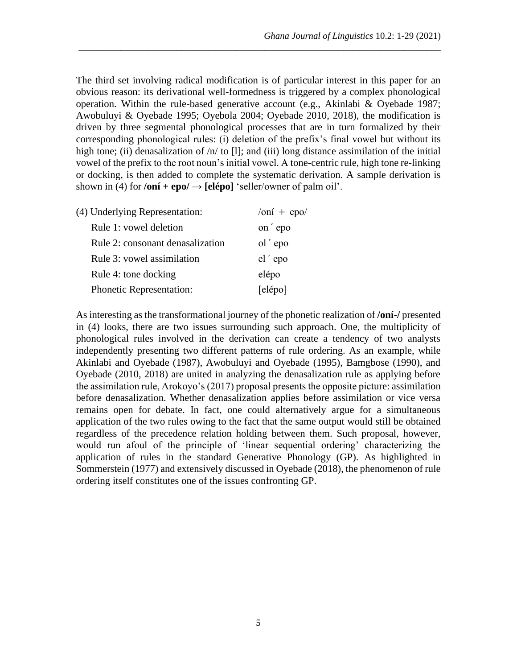The third set involving radical modification is of particular interest in this paper for an obvious reason: its derivational well-formedness is triggered by a complex phonological operation. Within the rule-based generative account (e.g., Akinlabi & Oyebade 1987; Awobuluyi & Oyebade 1995; Oyebola 2004; Oyebade 2010, 2018), the modification is driven by three segmental phonological processes that are in turn formalized by their corresponding phonological rules: (i) deletion of the prefix's final vowel but without its high tone; (ii) denasalization of /n/ to [1]; and (iii) long distance assimilation of the initial vowel of the prefix to the root noun's initial vowel. A tone-centric rule, high tone re-linking or docking, is then added to complete the systematic derivation. A sample derivation is shown in (4) for  $\theta$ **oní** + **epo** $\theta$  → **[elépo]** 'seller/owner of palm oil'.

\_\_\_\_\_\_\_\_\_\_\_\_\_\_\_\_\_\_\_\_\_\_\_\_\_\_\_\_\_\_\_\_\_\_\_\_\_\_\_\_\_\_\_\_\_\_\_\_\_\_\_\_\_\_\_\_\_\_\_\_\_\_\_\_\_\_\_\_\_\_\_\_\_\_\_\_\_\_

| (4) Underlying Representation:   | $\frac{\sin 4 + \cos 2}{\sin 4}$ |
|----------------------------------|----------------------------------|
| Rule 1: yowel deletion           | on 'epo                          |
| Rule 2: consonant denasalization | ol 'epo                          |
| Rule 3: vowel assimilation       | el 'epo                          |
| Rule 4: tone docking             | elépo                            |
| Phonetic Representation:         | [elépo]                          |

As interesting as the transformational journey of the phonetic realization of **/oní-/** presented in (4) looks, there are two issues surrounding such approach. One, the multiplicity of phonological rules involved in the derivation can create a tendency of two analysts independently presenting two different patterns of rule ordering. As an example, while Akinlabi and Oyebade (1987), Awobuluyi and Oyebade (1995), Bamgbose (1990), and Oyebade (2010, 2018) are united in analyzing the denasalization rule as applying before the assimilation rule, Arokoyo's (2017) proposal presents the opposite picture: assimilation before denasalization. Whether denasalization applies before assimilation or vice versa remains open for debate. In fact, one could alternatively argue for a simultaneous application of the two rules owing to the fact that the same output would still be obtained regardless of the precedence relation holding between them. Such proposal, however, would run afoul of the principle of 'linear sequential ordering' characterizing the application of rules in the standard Generative Phonology (GP). As highlighted in Sommerstein (1977) and extensively discussed in Oyebade (2018), the phenomenon of rule ordering itself constitutes one of the issues confronting GP.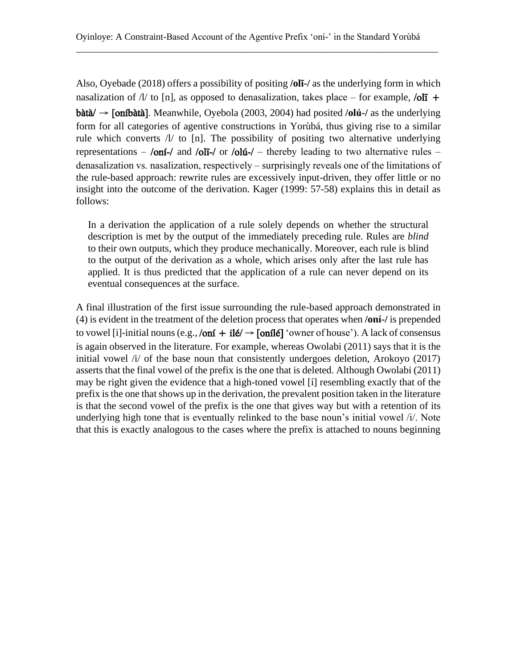Also, Oyebade (2018) offers a possibility of positing **/olĩ-/** as the underlying form in which nasalization of  $\Lambda$  to [n], as opposed to denasalization, takes place – for example, /oli + bàtà/ → [oníbàtà]. Meanwhile, Oyebola (2003, 2004) had posited **/olú-/** as the underlying form for all categories of agentive constructions in Yorùbá, thus giving rise to a similar rule which converts /l/ to [n]. The possibility of positing two alternative underlying representations – /oní-/ and /olí-/ or /olú-/ – thereby leading to two alternative rules – denasalization vs. nasalization, respectively – surprisingly reveals one of the limitations of the rule-based approach: rewrite rules are excessively input-driven, they offer little or no insight into the outcome of the derivation. Kager (1999: 57-58) explains this in detail as follows:

In a derivation the application of a rule solely depends on whether the structural description is met by the output of the immediately preceding rule. Rules are *blind*  to their own outputs, which they produce mechanically. Moreover, each rule is blind to the output of the derivation as a whole, which arises only after the last rule has applied. It is thus predicted that the application of a rule can never depend on its eventual consequences at the surface.

A final illustration of the first issue surrounding the rule-based approach demonstrated in (4) is evident in the treatment of the deletion process that operates when **/oní-/** is prepended to vowel [i]-initial nouns (e.g.,  $\lambda$ oní + ilé/  $\rightarrow$  [onílé] 'owner of house'). A lack of consensus is again observed in the literature. For example, whereas Owolabi (2011) says that it is the initial vowel /i/ of the base noun that consistently undergoes deletion, Arokoyo (2017) asserts that the final vowel of the prefix is the one that is deleted. Although Owolabi (2011) may be right given the evidence that a high-toned vowel [í] resembling exactly that of the prefix is the one that shows up in the derivation, the prevalent position taken in the literature is that the second vowel of the prefix is the one that gives way but with a retention of its underlying high tone that is eventually relinked to the base noun's initial vowel  $\ddot{\textit{i}}$ . Note that this is exactly analogous to the cases where the prefix is attached to nouns beginning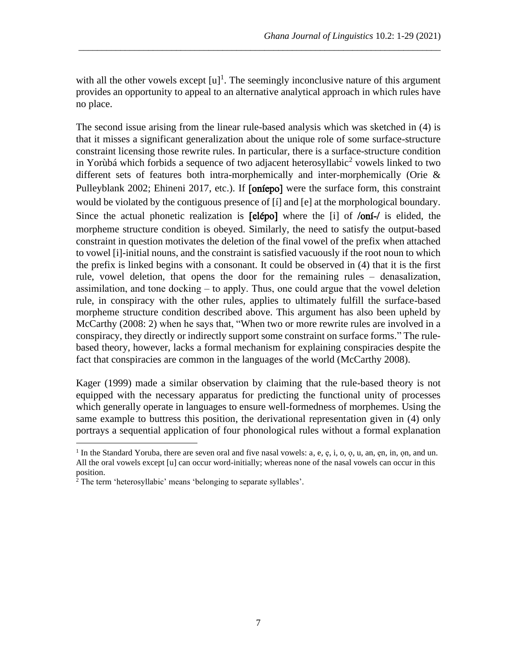with all the other vowels except  $[u]$ <sup>1</sup>. The seemingly inconclusive nature of this argument provides an opportunity to appeal to an alternative analytical approach in which rules have no place.

\_\_\_\_\_\_\_\_\_\_\_\_\_\_\_\_\_\_\_\_\_\_\_\_\_\_\_\_\_\_\_\_\_\_\_\_\_\_\_\_\_\_\_\_\_\_\_\_\_\_\_\_\_\_\_\_\_\_\_\_\_\_\_\_\_\_\_\_\_\_\_\_\_\_\_\_\_\_

The second issue arising from the linear rule-based analysis which was sketched in (4) is that it misses a significant generalization about the unique role of some surface-structure constraint licensing those rewrite rules. In particular, there is a surface-structure condition in Yorùbá which forbids a sequence of two adjacent heterosyllabic<sup>2</sup> vowels linked to two different sets of features both intra-morphemically and inter-morphemically (Orie & Pulleyblank 2002; Ehineni 2017, etc.). If [oniepo] were the surface form, this constraint would be violated by the contiguous presence of [í] and [e] at the morphological boundary. Since the actual phonetic realization is [elépo] where the [i] of /oní-/ is elided, the morpheme structure condition is obeyed. Similarly, the need to satisfy the output-based constraint in question motivates the deletion of the final vowel of the prefix when attached to vowel [i]-initial nouns, and the constraint is satisfied vacuously if the root noun to which the prefix is linked begins with a consonant. It could be observed in (4) that it is the first rule, vowel deletion, that opens the door for the remaining rules – denasalization, assimilation, and tone docking  $-$  to apply. Thus, one could argue that the vowel deletion rule, in conspiracy with the other rules, applies to ultimately fulfill the surface-based morpheme structure condition described above. This argument has also been upheld by McCarthy (2008: 2) when he says that, "When two or more rewrite rules are involved in a conspiracy, they directly or indirectly support some constraint on surface forms." The rulebased theory, however, lacks a formal mechanism for explaining conspiracies despite the fact that conspiracies are common in the languages of the world (McCarthy 2008).

Kager (1999) made a similar observation by claiming that the rule-based theory is not equipped with the necessary apparatus for predicting the functional unity of processes which generally operate in languages to ensure well-formedness of morphemes. Using the same example to buttress this position, the derivational representation given in (4) only portrays a sequential application of four phonological rules without a formal explanation

<sup>&</sup>lt;sup>1</sup> In the Standard Yoruba, there are seven oral and five nasal vowels: a, e, e, i, o, o, u, an, en, in, on, and un. All the oral vowels except [u] can occur word-initially; whereas none of the nasal vowels can occur in this position.

<sup>2</sup> The term 'heterosyllabic' means 'belonging to separate syllables'.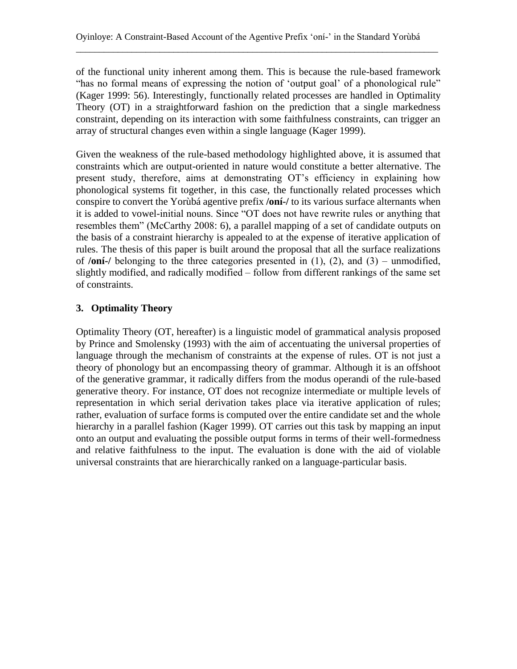of the functional unity inherent among them. This is because the rule-based framework "has no formal means of expressing the notion of 'output goal' of a phonological rule" (Kager 1999: 56). Interestingly, functionally related processes are handled in Optimality Theory (OT) in a straightforward fashion on the prediction that a single markedness constraint, depending on its interaction with some faithfulness constraints, can trigger an array of structural changes even within a single language (Kager 1999).

Given the weakness of the rule-based methodology highlighted above, it is assumed that constraints which are output-oriented in nature would constitute a better alternative. The present study, therefore, aims at demonstrating OT's efficiency in explaining how phonological systems fit together, in this case, the functionally related processes which conspire to convert the Yorùbá agentive prefix **/oní-/** to its various surface alternants when it is added to vowel-initial nouns. Since "OT does not have rewrite rules or anything that resembles them" (McCarthy 2008: 6), a parallel mapping of a set of candidate outputs on the basis of a constraint hierarchy is appealed to at the expense of iterative application of rules. The thesis of this paper is built around the proposal that all the surface realizations of /**oní-**/ belonging to the three categories presented in  $(1)$ ,  $(2)$ , and  $(3)$  – unmodified, slightly modified, and radically modified – follow from different rankings of the same set of constraints.

## **3. Optimality Theory**

Optimality Theory (OT, hereafter) is a linguistic model of grammatical analysis proposed by Prince and Smolensky (1993) with the aim of accentuating the universal properties of language through the mechanism of constraints at the expense of rules. OT is not just a theory of phonology but an encompassing theory of grammar. Although it is an offshoot of the generative grammar, it radically differs from the modus operandi of the rule-based generative theory. For instance, OT does not recognize intermediate or multiple levels of representation in which serial derivation takes place via iterative application of rules; rather, evaluation of surface forms is computed over the entire candidate set and the whole hierarchy in a parallel fashion (Kager 1999). OT carries out this task by mapping an input onto an output and evaluating the possible output forms in terms of their well-formedness and relative faithfulness to the input. The evaluation is done with the aid of violable universal constraints that are hierarchically ranked on a language-particular basis.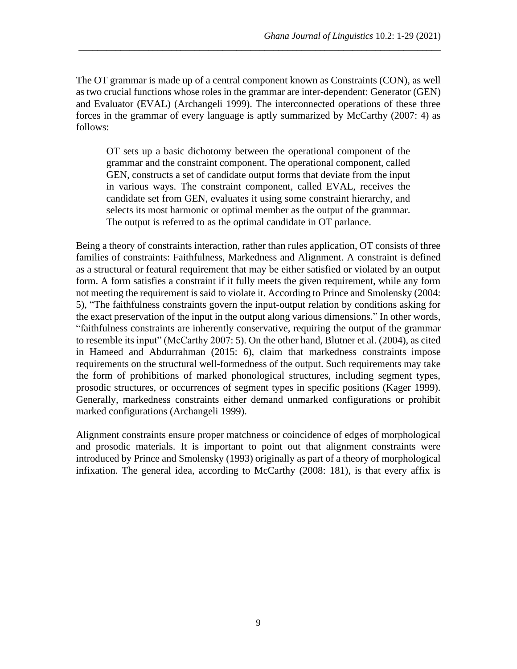The OT grammar is made up of a central component known as Constraints (CON), as well as two crucial functions whose roles in the grammar are inter-dependent: Generator (GEN) and Evaluator (EVAL) (Archangeli 1999). The interconnected operations of these three forces in the grammar of every language is aptly summarized by McCarthy (2007: 4) as follows:

\_\_\_\_\_\_\_\_\_\_\_\_\_\_\_\_\_\_\_\_\_\_\_\_\_\_\_\_\_\_\_\_\_\_\_\_\_\_\_\_\_\_\_\_\_\_\_\_\_\_\_\_\_\_\_\_\_\_\_\_\_\_\_\_\_\_\_\_\_\_\_\_\_\_\_\_\_\_

OT sets up a basic dichotomy between the operational component of the grammar and the constraint component. The operational component, called GEN, constructs a set of candidate output forms that deviate from the input in various ways. The constraint component, called EVAL, receives the candidate set from GEN, evaluates it using some constraint hierarchy, and selects its most harmonic or optimal member as the output of the grammar. The output is referred to as the optimal candidate in OT parlance.

Being a theory of constraints interaction, rather than rules application, OT consists of three families of constraints: Faithfulness, Markedness and Alignment. A constraint is defined as a structural or featural requirement that may be either satisfied or violated by an output form. A form satisfies a constraint if it fully meets the given requirement, while any form not meeting the requirement is said to violate it. According to Prince and Smolensky (2004: 5), "The faithfulness constraints govern the input-output relation by conditions asking for the exact preservation of the input in the output along various dimensions." In other words, "faithfulness constraints are inherently conservative, requiring the output of the grammar to resemble its input" (McCarthy 2007: 5). On the other hand, Blutner et al. (2004), as cited in Hameed and Abdurrahman (2015: 6), claim that markedness constraints impose requirements on the structural well-formedness of the output. Such requirements may take the form of prohibitions of marked phonological structures, including segment types, prosodic structures, or occurrences of segment types in specific positions (Kager 1999). Generally, markedness constraints either demand unmarked configurations or prohibit marked configurations (Archangeli 1999).

Alignment constraints ensure proper matchness or coincidence of edges of morphological and prosodic materials. It is important to point out that alignment constraints were introduced by Prince and Smolensky (1993) originally as part of a theory of morphological infixation. The general idea, according to McCarthy (2008: 181), is that every affix is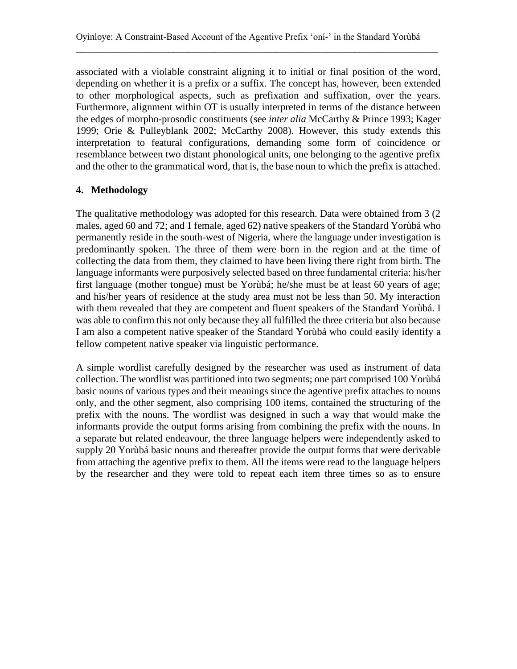associated with a violable constraint aligning it to initial or final position of the word, depending on whether it is a prefix or a suffix. The concept has, however, been extended to other morphological aspects, such as prefixation and suffixation, over the years. Furthermore, alignment within OT is usually interpreted in terms of the distance between the edges of morpho-prosodic constituents (see *inter alia* McCarthy & Prince 1993; Kager 1999; Orie & Pulleyblank 2002; McCarthy 2008). However, this study extends this interpretation to featural configurations, demanding some form of coincidence or resemblance between two distant phonological units, one belonging to the agentive prefix and the other to the grammatical word, that is, the base noun to which the prefix is attached.

## **4. Methodology**

The qualitative methodology was adopted for this research. Data were obtained from 3 (2 males, aged 60 and 72; and 1 female, aged 62) native speakers of the Standard Yorùbá who permanently reside in the south-west of Nigeria, where the language under investigation is predominantly spoken. The three of them were born in the region and at the time of collecting the data from them, they claimed to have been living there right from birth. The language informants were purposively selected based on three fundamental criteria: his/her first language (mother tongue) must be Yorùbá; he/she must be at least 60 years of age; and his/her years of residence at the study area must not be less than 50. My interaction with them revealed that they are competent and fluent speakers of the Standard Yorùbá. I was able to confirm this not only because they all fulfilled the three criteria but also because I am also a competent native speaker of the Standard Yorùbá who could easily identify a fellow competent native speaker via linguistic performance.

A simple wordlist carefully designed by the researcher was used as instrument of data collection. The wordlist was partitioned into two segments; one part comprised 100 Yorùbá basic nouns of various types and their meanings since the agentive prefix attaches to nouns only, and the other segment, also comprising 100 items, contained the structuring of the prefix with the nouns. The wordlist was designed in such a way that would make the informants provide the output forms arising from combining the prefix with the nouns. In a separate but related endeavour, the three language helpers were independently asked to supply 20 Yorùbá basic nouns and thereafter provide the output forms that were derivable from attaching the agentive prefix to them. All the items were read to the language helpers by the researcher and they were told to repeat each item three times so as to ensure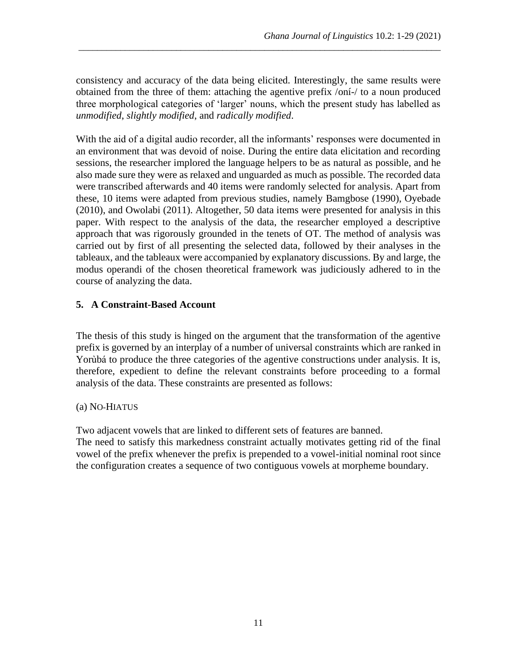consistency and accuracy of the data being elicited. Interestingly, the same results were obtained from the three of them: attaching the agentive prefix /oní-/ to a noun produced three morphological categories of 'larger' nouns, which the present study has labelled as *unmodified*, *slightly modified*, and *radically modified*.

\_\_\_\_\_\_\_\_\_\_\_\_\_\_\_\_\_\_\_\_\_\_\_\_\_\_\_\_\_\_\_\_\_\_\_\_\_\_\_\_\_\_\_\_\_\_\_\_\_\_\_\_\_\_\_\_\_\_\_\_\_\_\_\_\_\_\_\_\_\_\_\_\_\_\_\_\_\_

With the aid of a digital audio recorder, all the informants' responses were documented in an environment that was devoid of noise. During the entire data elicitation and recording sessions, the researcher implored the language helpers to be as natural as possible, and he also made sure they were as relaxed and unguarded as much as possible. The recorded data were transcribed afterwards and 40 items were randomly selected for analysis. Apart from these, 10 items were adapted from previous studies, namely Bamgbose (1990), Oyebade (2010), and Owolabi (2011). Altogether, 50 data items were presented for analysis in this paper. With respect to the analysis of the data, the researcher employed a descriptive approach that was rigorously grounded in the tenets of OT. The method of analysis was carried out by first of all presenting the selected data, followed by their analyses in the tableaux, and the tableaux were accompanied by explanatory discussions. By and large, the modus operandi of the chosen theoretical framework was judiciously adhered to in the course of analyzing the data.

## **5. A Constraint-Based Account**

The thesis of this study is hinged on the argument that the transformation of the agentive prefix is governed by an interplay of a number of universal constraints which are ranked in Yorùbá to produce the three categories of the agentive constructions under analysis. It is, therefore, expedient to define the relevant constraints before proceeding to a formal analysis of the data. These constraints are presented as follows:

#### (a) NO-HIATUS

Two adjacent vowels that are linked to different sets of features are banned. The need to satisfy this markedness constraint actually motivates getting rid of the final vowel of the prefix whenever the prefix is prepended to a vowel-initial nominal root since the configuration creates a sequence of two contiguous vowels at morpheme boundary.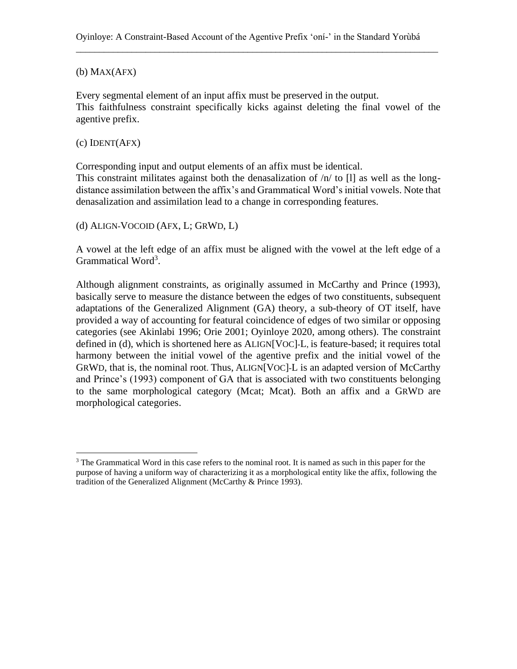#### (b) MAX(AFX)

Every segmental element of an input affix must be preserved in the output. This faithfulness constraint specifically kicks against deleting the final vowel of the agentive prefix.

#### (c) IDENT(AFX)

Corresponding input and output elements of an affix must be identical. This constraint militates against both the denasalization of  $/n/$  to [1] as well as the longdistance assimilation between the affix's and Grammatical Word's initial vowels. Note that denasalization and assimilation lead to a change in corresponding features.

(d) ALIGN-VOCOID (AFX, L; GRWD, L)

A vowel at the left edge of an affix must be aligned with the vowel at the left edge of a Grammatical Word<sup>3</sup>.

Although alignment constraints, as originally assumed in McCarthy and Prince (1993), basically serve to measure the distance between the edges of two constituents, subsequent adaptations of the Generalized Alignment (GA) theory, a sub-theory of OT itself, have provided a way of accounting for featural coincidence of edges of two similar or opposing categories (see Akinlabi 1996; Orie 2001; Oyinloye 2020, among others). The constraint defined in (d), which is shortened here as ALIGN[VOC]-L, is feature-based; it requires total harmony between the initial vowel of the agentive prefix and the initial vowel of the GRWD, that is, the nominal root. Thus, ALIGN[VOC]-L is an adapted version of McCarthy and Prince's (1993) component of GA that is associated with two constituents belonging to the same morphological category (Mcat; Mcat). Both an affix and a GRWD are morphological categories.

 $3$  The Grammatical Word in this case refers to the nominal root. It is named as such in this paper for the purpose of having a uniform way of characterizing it as a morphological entity like the affix, following the tradition of the Generalized Alignment (McCarthy & Prince 1993).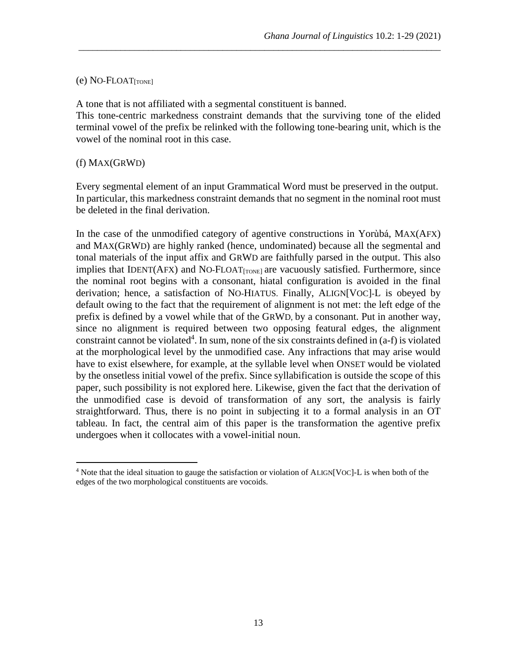#### $(e)$  NO-FLOAT $_{[TONE]}$

A tone that is not affiliated with a segmental constituent is banned. This tone-centric markedness constraint demands that the surviving tone of the elided terminal vowel of the prefix be relinked with the following tone-bearing unit, which is the vowel of the nominal root in this case.

\_\_\_\_\_\_\_\_\_\_\_\_\_\_\_\_\_\_\_\_\_\_\_\_\_\_\_\_\_\_\_\_\_\_\_\_\_\_\_\_\_\_\_\_\_\_\_\_\_\_\_\_\_\_\_\_\_\_\_\_\_\_\_\_\_\_\_\_\_\_\_\_\_\_\_\_\_\_

#### (f) MAX(GRWD)

Every segmental element of an input Grammatical Word must be preserved in the output. In particular, this markedness constraint demands that no segment in the nominal root must be deleted in the final derivation.

In the case of the unmodified category of agentive constructions in Yorùbá, MAX(AFX) and MAX(GRWD) are highly ranked (hence, undominated) because all the segmental and tonal materials of the input affix and GRWD are faithfully parsed in the output. This also implies that IDENT( $AFX$ ) and NO-FLOAT $_{[TONE]}$  are vacuously satisfied. Furthermore, since the nominal root begins with a consonant, hiatal configuration is avoided in the final derivation; hence, a satisfaction of NO-HIATUS. Finally, ALIGN[VOC]-L is obeyed by default owing to the fact that the requirement of alignment is not met: the left edge of the prefix is defined by a vowel while that of the GRWD, by a consonant. Put in another way, since no alignment is required between two opposing featural edges, the alignment constraint cannot be violated<sup>4</sup>. In sum, none of the six constraints defined in  $(a-f)$  is violated at the morphological level by the unmodified case. Any infractions that may arise would have to exist elsewhere, for example, at the syllable level when ONSET would be violated by the onsetless initial vowel of the prefix. Since syllabification is outside the scope of this paper, such possibility is not explored here. Likewise, given the fact that the derivation of the unmodified case is devoid of transformation of any sort, the analysis is fairly straightforward. Thus, there is no point in subjecting it to a formal analysis in an OT tableau. In fact, the central aim of this paper is the transformation the agentive prefix undergoes when it collocates with a vowel-initial noun.

<sup>&</sup>lt;sup>4</sup> Note that the ideal situation to gauge the satisfaction or violation of ALIGN[VOC]-L is when both of the edges of the two morphological constituents are vocoids.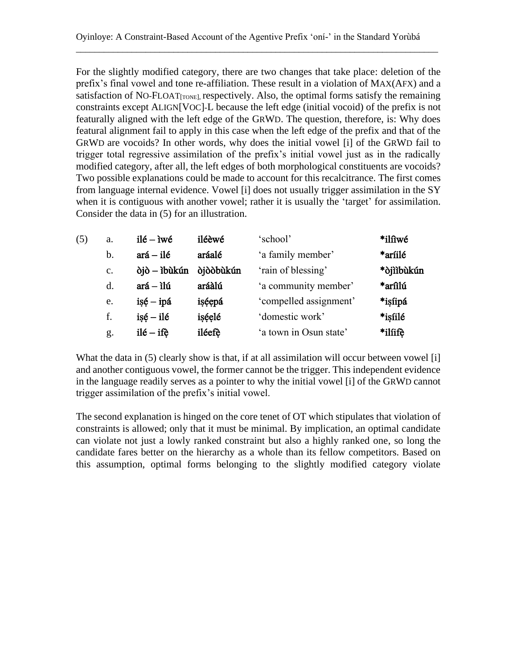For the slightly modified category, there are two changes that take place: deletion of the prefix's final vowel and tone re-affiliation. These result in a violation of MAX(AFX) and a satisfaction of NO-FLOAT $_{[TONE]}$  respectively. Also, the optimal forms satisfy the remaining constraints except ALIGN[VOC]-L because the left edge (initial vocoid) of the prefix is not featurally aligned with the left edge of the GRWD. The question, therefore, is: Why does featural alignment fail to apply in this case when the left edge of the prefix and that of the GRWD are vocoids? In other words, why does the initial vowel [i] of the GRWD fail to trigger total regressive assimilation of the prefix's initial vowel just as in the radically modified category, after all, the left edges of both morphological constituents are vocoids? Two possible explanations could be made to account for this recalcitrance. The first comes from language internal evidence. Vowel [i] does not usually trigger assimilation in the SY when it is contiguous with another vowel; rather it is usually the 'target' for assimilation. Consider the data in (5) for an illustration.

| (5) | a.             | $il\acute{e} - i w\acute{e}$ | iléèwé            | 'school'               | *ilîiwé    |
|-----|----------------|------------------------------|-------------------|------------------------|------------|
|     | $\mathbf b$ .  | $ará - ilé$                  | aráalé            | 'a family member'      | *aríilé    |
|     | $\mathbf{c}$ . | òjò – ìbùkún                 | <b>dj</b> ddbukún | 'rain of blessing'     | *òjììbùkún |
|     | d.             | $ará - ilú$                  | aráàlú            | 'a community member'   | *arîilú    |
|     | e.             | $i$ sé – ipá                 | işéepá            | 'compelled assignment' | *isíipá    |
|     | f.             | $is\acute{e} - il\acute{e}$  | işéelé            | 'domestic work'        | *isíilé    |
|     | g.             | $il\acute{e} - if\grave{e}$  | iléefè            | 'a town in Osun state' | *ilíifè    |

What the data in (5) clearly show is that, if at all assimilation will occur between vowel [i] and another contiguous vowel, the former cannot be the trigger. This independent evidence in the language readily serves as a pointer to why the initial vowel [i] of the GRWD cannot trigger assimilation of the prefix's initial vowel.

The second explanation is hinged on the core tenet of OT which stipulates that violation of constraints is allowed; only that it must be minimal. By implication, an optimal candidate can violate not just a lowly ranked constraint but also a highly ranked one, so long the candidate fares better on the hierarchy as a whole than its fellow competitors. Based on this assumption, optimal forms belonging to the slightly modified category violate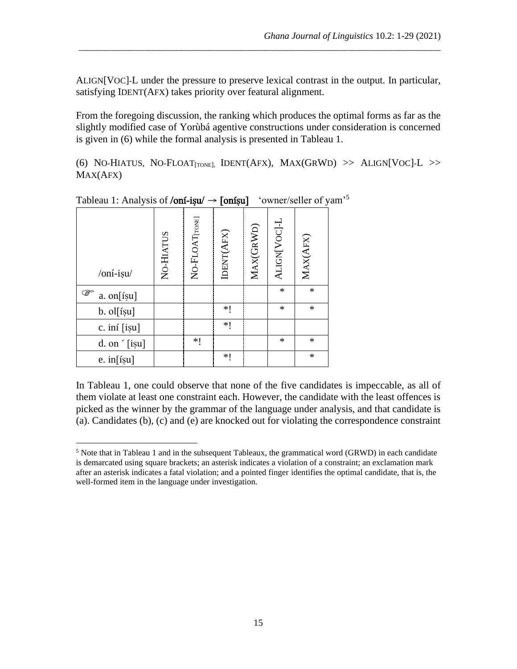ALIGN[VOC]-L under the pressure to preserve lexical contrast in the output. In particular, satisfying IDENT(AFX) takes priority over featural alignment.

\_\_\_\_\_\_\_\_\_\_\_\_\_\_\_\_\_\_\_\_\_\_\_\_\_\_\_\_\_\_\_\_\_\_\_\_\_\_\_\_\_\_\_\_\_\_\_\_\_\_\_\_\_\_\_\_\_\_\_\_\_\_\_\_\_\_\_\_\_\_\_\_\_\_\_\_\_\_

From the foregoing discussion, the ranking which produces the optimal forms as far as the slightly modified case of Yorùbá agentive constructions under consideration is concerned is given in (6) while the formal analysis is presented in Tableau 1.

(6) NO-HIATUS, NO-FLOAT<sub>[TONE]</sub>, IDENT(AFX),  $MAX(GRWD) >> ALIGN[VOC]-L >>$ MAX(AFX)

| /oní-isu/              | NO-HIATUS | NO-FLOAT <sub>[TONE]</sub> | IDENT(AFX) | MAX(GRWD) | ALIGN[VOC]-L | MAX(AFX) |
|------------------------|-----------|----------------------------|------------|-----------|--------------|----------|
| ☞<br>$a.$ on [is u]    |           |                            |            |           | *            | $\ast$   |
| b. ol[íșu]             |           |                            | ∗∣         |           | *            | $\ast$   |
| c. iní [iṣu]           |           |                            | *1         |           |              |          |
| d. on $\hat{ }$ [is̯u] |           | *1                         |            |           | *            | $\ast$   |
| e. $in[ișu]$           |           |                            | *1         |           |              | $\ast$   |

Tableau 1: Analysis of /**oní-iṣu/ → [oníṣu]** 'owner/seller of yam<sup>,5</sup>

In Tableau 1, one could observe that none of the five candidates is impeccable, as all of them violate at least one constraint each. However, the candidate with the least offences is picked as the winner by the grammar of the language under analysis, and that candidate is (a). Candidates (b), (c) and (e) are knocked out for violating the correspondence constraint

 $<sup>5</sup>$  Note that in Tableau 1 and in the subsequent Tableaux, the grammatical word (GRWD) in each candidate</sup> is demarcated using square brackets; an asterisk indicates a violation of a constraint; an exclamation mark after an asterisk indicates a fatal violation; and a pointed finger identifies the optimal candidate, that is, the well-formed item in the language under investigation.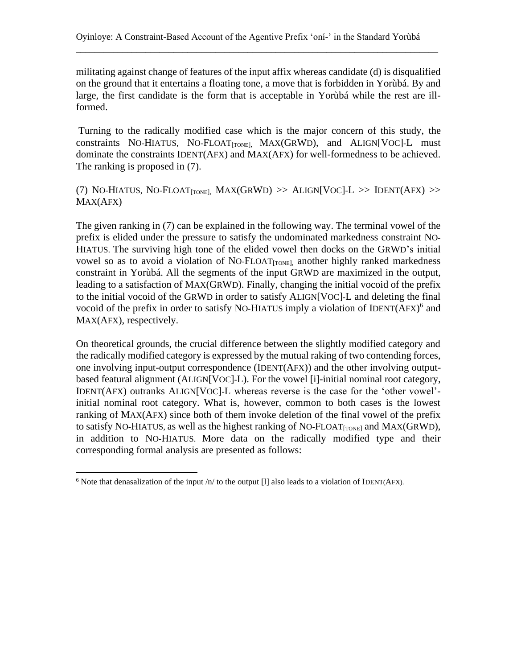militating against change of features of the input affix whereas candidate (d) is disqualified on the ground that it entertains a floating tone, a move that is forbidden in Yorùbá. By and large, the first candidate is the form that is acceptable in Yorùbá while the rest are illformed.

\_\_\_\_\_\_\_\_\_\_\_\_\_\_\_\_\_\_\_\_\_\_\_\_\_\_\_\_\_\_\_\_\_\_\_\_\_\_\_\_\_\_\_\_\_\_\_\_\_\_\_\_\_\_\_\_\_\_\_\_\_\_\_\_\_\_\_\_\_\_\_\_\_\_\_\_\_\_

Turning to the radically modified case which is the major concern of this study, the constraints NO-HIATUS, NO-FLOAT[TONE], MAX(GRWD), and ALIGN[VOC]-L must dominate the constraints IDENT(AFX) and MAX(AFX) for well-formedness to be achieved. The ranking is proposed in (7).

(7) NO-HIATUS, NO-FLOAT<sub>[TONE]</sub>, MAX(GRWD) >> ALIGN[VOC]-L >> IDENT(AFX) >> MAX(AFX)

The given ranking in (7) can be explained in the following way. The terminal vowel of the prefix is elided under the pressure to satisfy the undominated markedness constraint NO-HIATUS. The surviving high tone of the elided vowel then docks on the GRWD's initial vowel so as to avoid a violation of NO-FLOAT $_{[TONE]}$  another highly ranked markedness constraint in Yorùbá. All the segments of the input GRWD are maximized in the output, leading to a satisfaction of MAX(GRWD). Finally, changing the initial vocoid of the prefix to the initial vocoid of the GRWD in order to satisfy ALIGN[VOC]-L and deleting the final vocoid of the prefix in order to satisfy NO-HIATUS imply a violation of IDENT(AFX)<sup>6</sup> and MAX(AFX), respectively.

On theoretical grounds, the crucial difference between the slightly modified category and the radically modified category is expressed by the mutual raking of two contending forces, one involving input-output correspondence (IDENT(AFX)) and the other involving outputbased featural alignment (ALIGN[VOC]-L). For the vowel [i]-initial nominal root category, IDENT(AFX) outranks ALIGN[VOC]-L whereas reverse is the case for the 'other vowel' initial nominal root category. What is, however, common to both cases is the lowest ranking of MAX(AFX) since both of them invoke deletion of the final vowel of the prefix to satisfy NO-HIATUS, as well as the highest ranking of NO-FLOAT $_{[TONE]}$  and MAX(GRWD), in addition to NO-HIATUS. More data on the radically modified type and their corresponding formal analysis are presented as follows:

<sup>&</sup>lt;sup>6</sup> Note that denasalization of the input /n/ to the output [1] also leads to a violation of IDENT(AFX).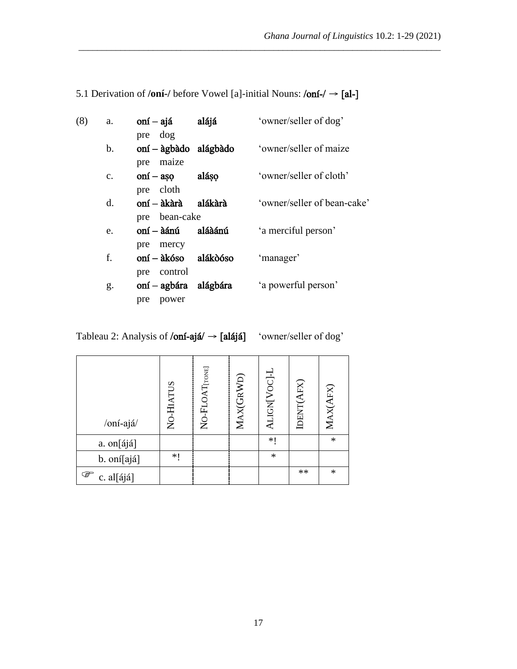| (8) | a.             | $oní - ajá$<br>pre dog                                  | alájá    | 'owner/seller of dog'       |
|-----|----------------|---------------------------------------------------------|----------|-----------------------------|
|     | b.             | $oní$ – àgbàdo alágbàdo<br>maize<br>pre                 |          | 'owner/seller of maize      |
|     | $\mathbf{C}$ . | $\text{on} \mathbf{i} - \text{a} \text{so}$             | aláso    | 'owner/seller of cloth'     |
|     | d.             | cloth<br>pre<br>oní — àkàrà                             | alákàrà  | 'owner/seller of bean-cake' |
|     | e.             | pre bean-cake<br>oní – àánú<br>mercy<br>pre             | aláàánú  | 'a merciful person'         |
|     | f.             | oní – àkóso                                             | alákóóso | 'manager'                   |
|     | g.             | control<br>pre<br>oní – agbára alágbára<br>pre<br>power |          | 'a powerful person'         |

5.1 Derivation of **/oní-/** before Vowel [a]-initial Nouns: /oní-/ → [al-]

\_\_\_\_\_\_\_\_\_\_\_\_\_\_\_\_\_\_\_\_\_\_\_\_\_\_\_\_\_\_\_\_\_\_\_\_\_\_\_\_\_\_\_\_\_\_\_\_\_\_\_\_\_\_\_\_\_\_\_\_\_\_\_\_\_\_\_\_\_\_\_\_\_\_\_\_\_\_

| /oní-ajá/       | NO-HIATUS | NO-FLOAT <sub>[TONE]</sub> | MAX(GRWD) | ALIGN[VOC]-L | IDENT(AFX) | MAX(AFX) |
|-----------------|-----------|----------------------------|-----------|--------------|------------|----------|
| a. on[ájá]      |           |                            |           | *1           |            | $\ast$   |
| b. oní[ajá]     | $*$ (     |                            |           | $\ast$       |            |          |
| ☞<br>c. al[ájá] |           |                            |           |              | $**$       | $\ast$   |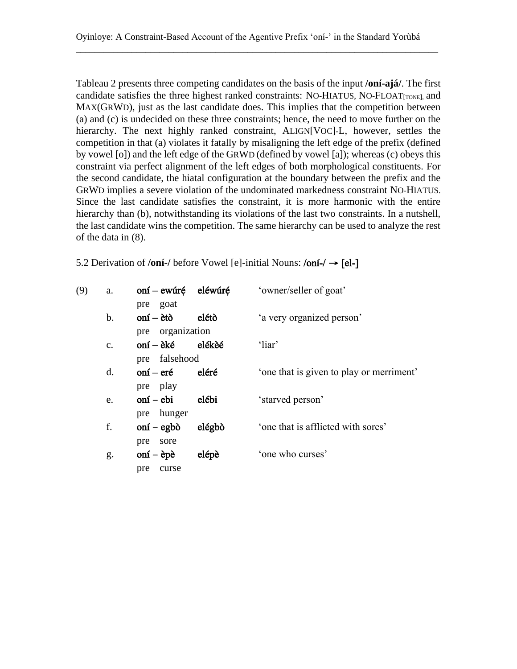Tableau 2 presents three competing candidates on the basis of the input **/oní-ajá/**. The first candidate satisfies the three highest ranked constraints: NO-HIATUS, NO-FLOAT $_{[TONE]}$  and MAX(GRWD), just as the last candidate does. This implies that the competition between (a) and (c) is undecided on these three constraints; hence, the need to move further on the hierarchy. The next highly ranked constraint, ALIGN[VOC]-L, however, settles the competition in that (a) violates it fatally by misaligning the left edge of the prefix (defined by vowel [o]) and the left edge of the GRWD (defined by vowel [a]); whereas (c) obeys this constraint via perfect alignment of the left edges of both morphological constituents. For the second candidate, the hiatal configuration at the boundary between the prefix and the GRWD implies a severe violation of the undominated markedness constraint NO-HIATUS. Since the last candidate satisfies the constraint, it is more harmonic with the entire hierarchy than (b), notwithstanding its violations of the last two constraints. In a nutshell, the last candidate wins the competition. The same hierarchy can be used to analyze the rest of the data in (8).

| 5.2 Derivation of /oni-/ before Vowel [e]-initial Nouns: $\theta$ oni-/ $\rightarrow$ [el-] |  |
|---------------------------------------------------------------------------------------------|--|
|---------------------------------------------------------------------------------------------|--|

| a.            |                                                               |        | 'owner/seller of goat'                                            |
|---------------|---------------------------------------------------------------|--------|-------------------------------------------------------------------|
|               | pre goat                                                      |        |                                                                   |
| $\mathbf b$ . | $onf - \text{ètò}$                                            | elétò  | 'a very organized person'                                         |
|               |                                                               |        |                                                                   |
| $C_{\bullet}$ | oní – èké                                                     | elékèé | 'liar'                                                            |
|               |                                                               |        |                                                                   |
| $d_{\cdot}$   | oní – eré                                                     |        | 'one that is given to play or merriment'                          |
|               | pre play                                                      |        |                                                                   |
| e.            | $onf - ebi$                                                   | elébi  | 'starved person'                                                  |
|               | pre hunger                                                    |        |                                                                   |
| f.            | $\text{on} \mathbf{i} - \text{eg} \mathbf{b} \mathbf{\delta}$ | elégbò | 'one that is afflicted with sores'                                |
|               | pre<br>sore                                                   |        |                                                                   |
| g.            | $\text{on} \mathbf{i} - \text{e} \mathbf{p} \mathbf{e}$       | elépè  | 'one who curses'                                                  |
|               | curse<br>pre                                                  |        |                                                                   |
|               |                                                               |        | oní – ewúré eléwúré<br>pre organization<br>pre falsehood<br>eléré |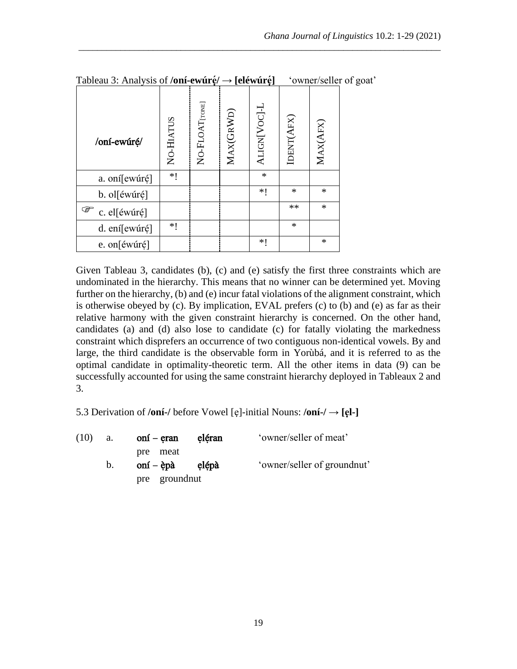| /oní-ewúré/       | NO-HIATUS | NO-FLOAT[TONE] | MAX(GRWD) | ALIGN[VOC]-L | IDENT(AFX) | MAX(AFX) |
|-------------------|-----------|----------------|-----------|--------------|------------|----------|
| a. oní[ewúré]     | *1        |                |           | $\ast$       |            |          |
| b. ol[éwúré]      |           |                |           | ∗∣           | $\ast$     | $\ast$   |
| ☞<br>c. el[éwúré] |           |                |           |              | **         | $\ast$   |
| d. ení[ewúré]     | *1        |                |           |              | $\ast$     |          |
| e. on[éwúré]      |           |                |           | ∗∣           |            | $\ast$   |

Tableau 3: Analysis of **/oní-ewúrẹ́ /** → **[eléwúrẹ́]** 'owner/seller of goat'

Given Tableau 3, candidates (b), (c) and (e) satisfy the first three constraints which are undominated in the hierarchy. This means that no winner can be determined yet. Moving further on the hierarchy, (b) and (e) incur fatal violations of the alignment constraint, which is otherwise obeyed by (c). By implication, EVAL prefers (c) to (b) and (e) as far as their relative harmony with the given constraint hierarchy is concerned. On the other hand, candidates (a) and (d) also lose to candidate (c) for fatally violating the markedness constraint which disprefers an occurrence of two contiguous non-identical vowels. By and large, the third candidate is the observable form in Yorùbá, and it is referred to as the optimal candidate in optimality-theoretic term. All the other items in data (9) can be successfully accounted for using the same constraint hierarchy deployed in Tableaux 2 and 3.

5.3 Derivation of **/oní-/** before Vowel [ẹ]-initial Nouns: **/oní-/** → **[ẹl-]**

| (10) | a. | oní – eran                                                    | eléran | 'owner/seller of meat'      |
|------|----|---------------------------------------------------------------|--------|-----------------------------|
|      |    | pre meat                                                      |        |                             |
|      | b. | $\text{on} \mathbf{i} - \text{e} \mathbf{p} \mathbf{a}$ elépà |        | 'owner/seller of groundnut' |
|      |    | pre groundnut                                                 |        |                             |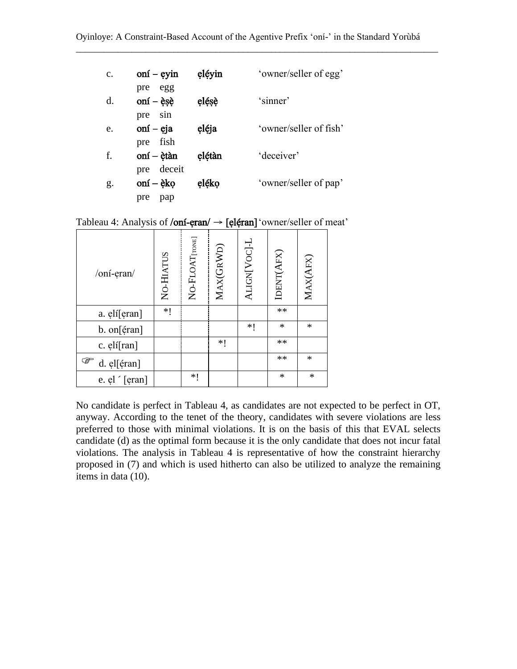| c. | $\text{on} \text{i} - \text{eyin}$        | eléyin | 'owner/seller of egg'  |
|----|-------------------------------------------|--------|------------------------|
| d. | egg<br>pre<br>oní $-\grave{\text{e}}$ sè  | elésè  | 'sinner'               |
| e. | sin<br>pre<br>oní – $e$ ja<br>fish<br>pre | eléja  | 'owner/seller of fish' |
| f. | oní – ètàn<br>deceit<br>pre               | elétàn | 'deceiver'             |
| g. | oní – èko<br>pre<br>pap                   | eléko  | 'owner/seller of pap'  |

Tableau 4: Analysis of /oní-eran/ → [eléran] 'owner/seller of meat'

| /oní-eran/       | NO-HIATUS | NO-FLOAT[TONE] | MAX(GRWD) | ALIGN[VOC]-L | IDENT(AFX) | MAX(AFX) |
|------------------|-----------|----------------|-----------|--------------|------------|----------|
| a. elí[eran]     | $*1$      |                |           |              | **         |          |
| b. on[éran]      |           |                |           | *1           | $\ast$     | $\ast$   |
| c. elí[ran]      |           |                | *1        |              | **         |          |
| ☞<br>d. el[éran] |           |                |           |              | **         | $\ast$   |
| e. el '[eran]    |           | *1             |           |              | $\ast$     | $\ast$   |

No candidate is perfect in Tableau 4, as candidates are not expected to be perfect in OT, anyway. According to the tenet of the theory, candidates with severe violations are less preferred to those with minimal violations. It is on the basis of this that EVAL selects candidate (d) as the optimal form because it is the only candidate that does not incur fatal violations. The analysis in Tableau 4 is representative of how the constraint hierarchy proposed in (7) and which is used hitherto can also be utilized to analyze the remaining items in data (10).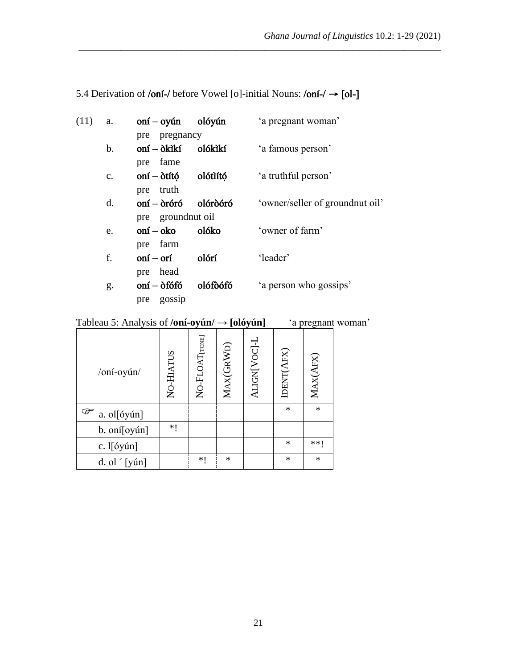| (11) | a.             | $onf -oyún$ olóvún                                              |          | 'a pregnant woman'               |
|------|----------------|-----------------------------------------------------------------|----------|----------------------------------|
|      |                | pre pregnancy                                                   |          |                                  |
|      | b.             | oní – òkìkí                                                     | olókìkí  | 'a famous person'                |
|      |                | pre fame                                                        |          |                                  |
|      | $\mathbf{C}$ . | oní – òtító                                                     | olótìító | 'a truthful person'              |
|      |                | truth<br>pre                                                    |          |                                  |
|      | d.             | $onf - \delta r$ óró                                            | olóròóró | 'owner/seller of ground nut oil' |
|      |                | pre ground nut oil                                              |          |                                  |
|      | e.             | oní – oko                                                       | olóko    | 'owner of farm'                  |
|      |                | farm<br>pre                                                     |          |                                  |
|      | f.             | oní – orí                                                       | olórí    | 'leader'                         |
|      |                | pre head                                                        |          |                                  |
|      | g.             | $\text{on} \mathbf{i} - \delta \text{f} \delta \text{f} \delta$ | olófòófó | 'a person who gossips'           |
|      |                | gossip<br>pre                                                   |          |                                  |

# 5.4 Derivation of /oní-/ before Vowel [o]-initial Nouns: /oní-/ → [ol-]

\_\_\_\_\_\_\_\_\_\_\_\_\_\_\_\_\_\_\_\_\_\_\_\_\_\_\_\_\_\_\_\_\_\_\_\_\_\_\_\_\_\_\_\_\_\_\_\_\_\_\_\_\_\_\_\_\_\_\_\_\_\_\_\_\_\_\_\_\_\_\_\_\_\_\_\_\_\_

# Tableau 5: Analysis of **/oní-oyún/** → **[olóyún]** 'a pregnant woman'

| /oní-oyún/       | NO-HIATUS | NO-FLOAT[TONE] | MAX(GRWD) | ALIGN[VOC]-L | IDENT(AFX) | MAX(AFX) |
|------------------|-----------|----------------|-----------|--------------|------------|----------|
| ☞<br>a. ol[óyún] |           |                |           |              | $\ast$     | $\ast$   |
| b. oní[oyún]     | *1        |                |           |              |            |          |
| c. l[óyún]       |           |                |           |              | $\ast$     | **1      |
| d. ol $[y$ ún]   |           | ∗∣             | $\ast$    |              | $\ast$     | $\ast$   |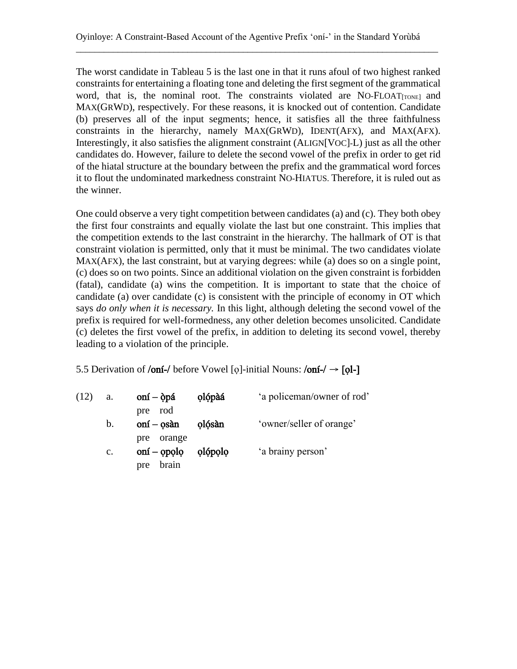The worst candidate in Tableau 5 is the last one in that it runs afoul of two highest ranked constraints for entertaining a floating tone and deleting the first segment of the grammatical word, that is, the nominal root. The constraints violated are NO-FLOAT $_{[TONE]}$  and MAX(GRWD), respectively. For these reasons, it is knocked out of contention. Candidate (b) preserves all of the input segments; hence, it satisfies all the three faithfulness constraints in the hierarchy, namely MAX(GRWD), IDENT(AFX), and MAX(AFX). Interestingly, it also satisfies the alignment constraint (ALIGN[VOC]-L) just as all the other candidates do. However, failure to delete the second vowel of the prefix in order to get rid of the hiatal structure at the boundary between the prefix and the grammatical word forces it to flout the undominated markedness constraint NO-HIATUS. Therefore, it is ruled out as the winner.

One could observe a very tight competition between candidates (a) and (c). They both obey the first four constraints and equally violate the last but one constraint. This implies that the competition extends to the last constraint in the hierarchy. The hallmark of OT is that constraint violation is permitted, only that it must be minimal. The two candidates violate MAX(AFX), the last constraint, but at varying degrees: while (a) does so on a single point, (c) does so on two points. Since an additional violation on the given constraint is forbidden (fatal), candidate (a) wins the competition. It is important to state that the choice of candidate (a) over candidate (c) is consistent with the principle of economy in OT which says *do only when it is necessary.* In this light, although deleting the second vowel of the prefix is required for well-formedness, any other deletion becomes unsolicited. Candidate (c) deletes the first vowel of the prefix, in addition to deleting its second vowel, thereby leading to a violation of the principle.

5.5 Derivation of /oní-/ before Vowel [o]-initial Nouns:  $\delta$ oní-/  $\rightarrow$  [ol-]

| (12) | a.             | $\text{on} \text{i} - \text{op} \text{a}$<br>rod<br>pre | olópàá  | 'a policeman/owner of rod' |
|------|----------------|---------------------------------------------------------|---------|----------------------------|
|      | b.             | $onf - osàn$                                            | olósàn  | 'owner/seller of orange'   |
|      |                | orange<br>pre                                           |         |                            |
|      | $\mathbf{c}$ . | $oní - opolo$                                           | olópolo | 'a brainy person'          |
|      |                | brain<br>pre                                            |         |                            |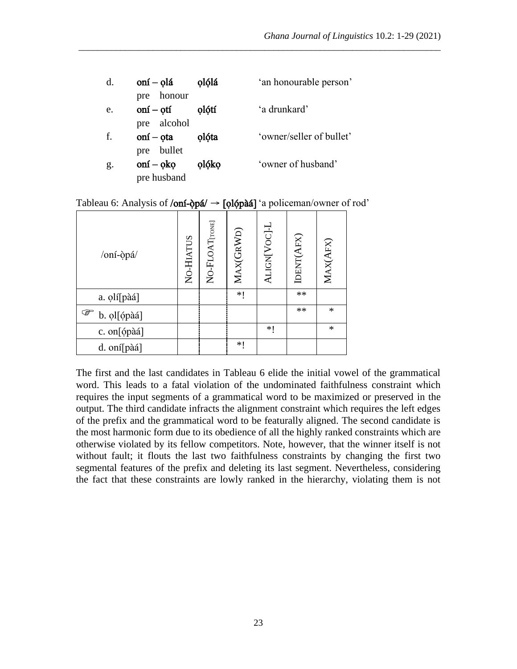| d. | oní – olá                         | olólá | 'an honourable person'   |
|----|-----------------------------------|-------|--------------------------|
|    | pre honour                        |       |                          |
| e. | oní – otí                         | olótí | 'a drunkard'             |
|    | pre alcohol                       |       |                          |
| f. | $\text{on} \text{i} - \text{ota}$ | olóta | 'owner/seller of bullet' |
|    | pre bullet                        |       |                          |
| g. | $onf - ok$ o                      | olóko | 'owner of husband'       |
|    | pre husband                       |       |                          |

Tableau 6: Analysis of /oní- $\phi$ pá/  $\rightarrow$  [olópàá] 'a policeman/owner of rod'

| /oní-òpá/        | NO-HIATUS | NO-FLOAT[TONE] | MAX(GRWD) | ALIGN[VOC]-L | IDENT(AFX) | MAX(AFX) |
|------------------|-----------|----------------|-----------|--------------|------------|----------|
| a. olí[pàá]      |           |                | *1        |              | $\ast\ast$ |          |
| ☞<br>b. ol[ópàá] |           |                |           |              | $**$       | $\ast$   |
| c. on[ópàá]      |           |                |           | ∗∣           |            | $\ast$   |
| d. oní[pàá]      |           |                | ∗∣        |              |            |          |

The first and the last candidates in Tableau 6 elide the initial vowel of the grammatical word. This leads to a fatal violation of the undominated faithfulness constraint which requires the input segments of a grammatical word to be maximized or preserved in the output. The third candidate infracts the alignment constraint which requires the left edges of the prefix and the grammatical word to be featurally aligned. The second candidate is the most harmonic form due to its obedience of all the highly ranked constraints which are otherwise violated by its fellow competitors. Note, however, that the winner itself is not without fault; it flouts the last two faithfulness constraints by changing the first two segmental features of the prefix and deleting its last segment. Nevertheless, considering the fact that these constraints are lowly ranked in the hierarchy, violating them is not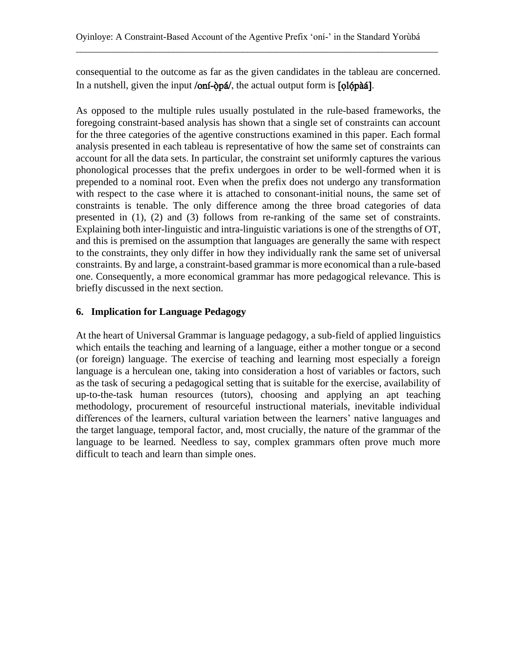consequential to the outcome as far as the given candidates in the tableau are concerned. In a nutshell, given the input /oní-òpá/, the actual output form is  $\lceil \frac{\delta_0}{\delta_1} \rceil$ .

\_\_\_\_\_\_\_\_\_\_\_\_\_\_\_\_\_\_\_\_\_\_\_\_\_\_\_\_\_\_\_\_\_\_\_\_\_\_\_\_\_\_\_\_\_\_\_\_\_\_\_\_\_\_\_\_\_\_\_\_\_\_\_\_\_\_\_\_\_\_\_\_\_\_\_\_\_\_

As opposed to the multiple rules usually postulated in the rule-based frameworks, the foregoing constraint-based analysis has shown that a single set of constraints can account for the three categories of the agentive constructions examined in this paper. Each formal analysis presented in each tableau is representative of how the same set of constraints can account for all the data sets. In particular, the constraint set uniformly captures the various phonological processes that the prefix undergoes in order to be well-formed when it is prepended to a nominal root. Even when the prefix does not undergo any transformation with respect to the case where it is attached to consonant-initial nouns, the same set of constraints is tenable. The only difference among the three broad categories of data presented in (1), (2) and (3) follows from re-ranking of the same set of constraints. Explaining both inter-linguistic and intra-linguistic variations is one of the strengths of OT, and this is premised on the assumption that languages are generally the same with respect to the constraints, they only differ in how they individually rank the same set of universal constraints. By and large, a constraint-based grammar is more economical than a rule-based one. Consequently, a more economical grammar has more pedagogical relevance. This is briefly discussed in the next section.

## **6. Implication for Language Pedagogy**

At the heart of Universal Grammar is language pedagogy, a sub-field of applied linguistics which entails the teaching and learning of a language, either a mother tongue or a second (or foreign) language. The exercise of teaching and learning most especially a foreign language is a herculean one, taking into consideration a host of variables or factors, such as the task of securing a pedagogical setting that is suitable for the exercise, availability of up-to-the-task human resources (tutors), choosing and applying an apt teaching methodology, procurement of resourceful instructional materials, inevitable individual differences of the learners, cultural variation between the learners' native languages and the target language, temporal factor, and, most crucially, the nature of the grammar of the language to be learned. Needless to say, complex grammars often prove much more difficult to teach and learn than simple ones.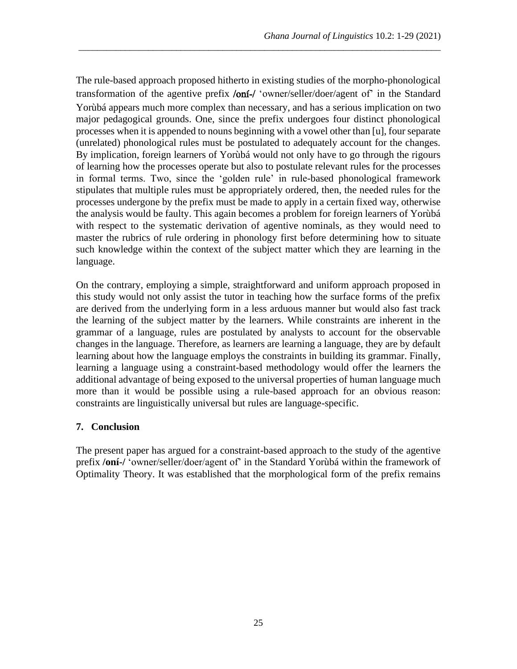The rule-based approach proposed hitherto in existing studies of the morpho-phonological transformation of the agentive prefix /oni-/ 'owner/seller/doer/agent of' in the Standard Yorùbá appears much more complex than necessary, and has a serious implication on two major pedagogical grounds. One, since the prefix undergoes four distinct phonological processes when it is appended to nouns beginning with a vowel other than [u], four separate (unrelated) phonological rules must be postulated to adequately account for the changes. By implication, foreign learners of Yorùbá would not only have to go through the rigours of learning how the processes operate but also to postulate relevant rules for the processes in formal terms. Two, since the 'golden rule' in rule-based phonological framework stipulates that multiple rules must be appropriately ordered, then, the needed rules for the processes undergone by the prefix must be made to apply in a certain fixed way, otherwise the analysis would be faulty. This again becomes a problem for foreign learners of Yorùbá with respect to the systematic derivation of agentive nominals, as they would need to master the rubrics of rule ordering in phonology first before determining how to situate such knowledge within the context of the subject matter which they are learning in the language.

\_\_\_\_\_\_\_\_\_\_\_\_\_\_\_\_\_\_\_\_\_\_\_\_\_\_\_\_\_\_\_\_\_\_\_\_\_\_\_\_\_\_\_\_\_\_\_\_\_\_\_\_\_\_\_\_\_\_\_\_\_\_\_\_\_\_\_\_\_\_\_\_\_\_\_\_\_\_

On the contrary, employing a simple, straightforward and uniform approach proposed in this study would not only assist the tutor in teaching how the surface forms of the prefix are derived from the underlying form in a less arduous manner but would also fast track the learning of the subject matter by the learners. While constraints are inherent in the grammar of a language, rules are postulated by analysts to account for the observable changes in the language. Therefore, as learners are learning a language, they are by default learning about how the language employs the constraints in building its grammar. Finally, learning a language using a constraint-based methodology would offer the learners the additional advantage of being exposed to the universal properties of human language much more than it would be possible using a rule-based approach for an obvious reason: constraints are linguistically universal but rules are language-specific.

## **7. Conclusion**

The present paper has argued for a constraint-based approach to the study of the agentive prefix **/oní-/** 'owner/seller/doer/agent of' in the Standard Yorùbá within the framework of Optimality Theory. It was established that the morphological form of the prefix remains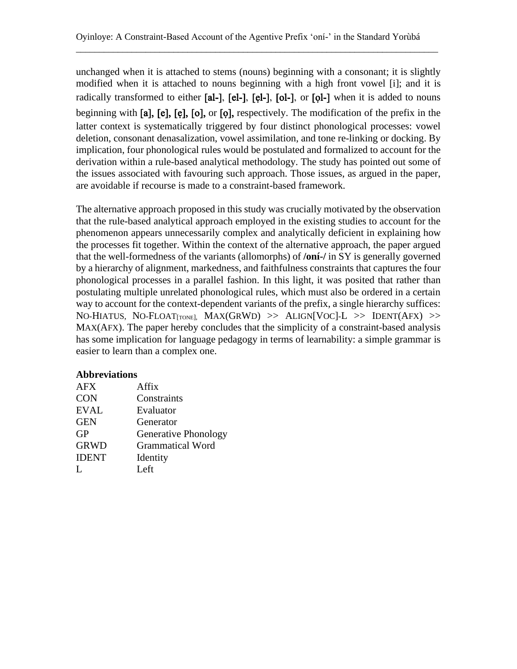unchanged when it is attached to stems (nouns) beginning with a consonant; it is slightly modified when it is attached to nouns beginning with a high front vowel [i]; and it is radically transformed to either [al-], [el-], [el-], [ol-], or [ol-] when it is added to nouns beginning with [a], [e], [ẹ], [o], or [ọ], respectively. The modification of the prefix in the latter context is systematically triggered by four distinct phonological processes: vowel deletion, consonant denasalization, vowel assimilation, and tone re-linking or docking. By implication, four phonological rules would be postulated and formalized to account for the derivation within a rule-based analytical methodology. The study has pointed out some of the issues associated with favouring such approach. Those issues, as argued in the paper, are avoidable if recourse is made to a constraint-based framework.

The alternative approach proposed in this study was crucially motivated by the observation that the rule-based analytical approach employed in the existing studies to account for the phenomenon appears unnecessarily complex and analytically deficient in explaining how the processes fit together. Within the context of the alternative approach, the paper argued that the well-formedness of the variants (allomorphs) of **/oní-/** in SY is generally governed by a hierarchy of alignment, markedness, and faithfulness constraints that captures the four phonological processes in a parallel fashion. In this light, it was posited that rather than postulating multiple unrelated phonological rules, which must also be ordered in a certain way to account for the context-dependent variants of the prefix, a single hierarchy suffices: NO-HIATUS, NO-FLOAT $_{[TONE]}$ , MAX $(GRWD)$  >> ALIGN $[VOC]$ -L >> IDENT $(AFX)$  >> MAX(AFX). The paper hereby concludes that the simplicity of a constraint-based analysis has some implication for language pedagogy in terms of learnability: a simple grammar is easier to learn than a complex one.

#### **Abbreviations**

| <b>AFX</b>   | Affix                       |
|--------------|-----------------------------|
| <b>CON</b>   | Constraints                 |
| <b>EVAL</b>  | Evaluator                   |
| <b>GEN</b>   | Generator                   |
| <b>GP</b>    | <b>Generative Phonology</b> |
| <b>GRWD</b>  | <b>Grammatical Word</b>     |
| <b>IDENT</b> | Identity                    |
| Ι.           | Left.                       |
|              |                             |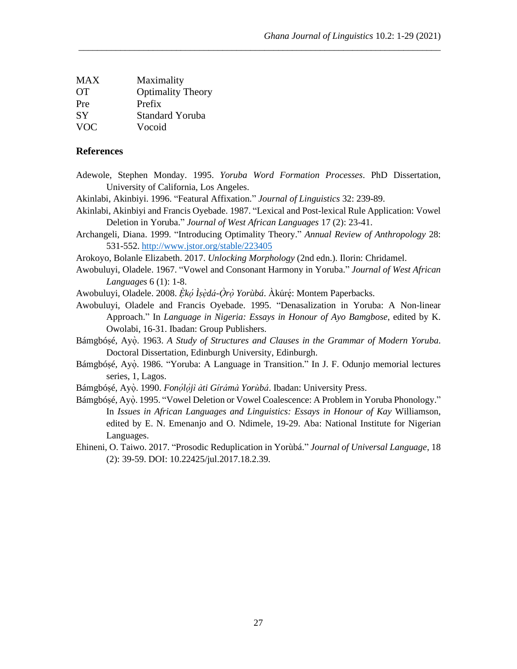| <b>MAX</b> | Maximality               |
|------------|--------------------------|
| <b>OT</b>  | <b>Optimality Theory</b> |
| Pre        | Prefix                   |
| <b>SY</b>  | <b>Standard Yoruba</b>   |
| <b>VOC</b> | Vocoid                   |

#### **References**

Adewole, Stephen Monday. 1995. *Yoruba Word Formation Processes*. PhD Dissertation, University of California, Los Angeles.

\_\_\_\_\_\_\_\_\_\_\_\_\_\_\_\_\_\_\_\_\_\_\_\_\_\_\_\_\_\_\_\_\_\_\_\_\_\_\_\_\_\_\_\_\_\_\_\_\_\_\_\_\_\_\_\_\_\_\_\_\_\_\_\_\_\_\_\_\_\_\_\_\_\_\_\_\_\_

- Akinlabi, Akinbiyi. 1996. "Featural Affixation." *Journal of Linguistics* 32: 239-89.
- Akinlabi, Akinbiyi and Francis Oyebade. 1987. "Lexical and Post-lexical Rule Application: Vowel Deletion in Yoruba." *Journal of West African Languages* 17 (2): 23-41.
- Archangeli, Diana. 1999. "Introducing Optimality Theory." *Annual Review of Anthropology* 28: 531-552. <http://www.jstor.org/stable/223405>
- Arokoyo, Bolanle Elizabeth. 2017. *Unlocking Morphology* (2nd edn.). Ilorin: Chridamel.
- Awobuluyi, Oladele. 1967. "Vowel and Consonant Harmony in Yoruba." *Journal of West African Languages* 6 (1): 1-8.
- Awobuluyi, Oladele. 2008. *Ẹ̀kọ́ Ìṣẹ̀dá-Ọ̀rọ̀ Yorùbá*. Àkúrẹ́ : Montem Paperbacks.
- Awobuluyi, Oladele and Francis Oyebade. 1995. "Denasalization in Yoruba: A Non-linear Approach." In *Language in Nigeria: Essays in Honour of Ayo Bamgbose*, edited by K. Owolabi, 16-31. Ibadan: Group Publishers.
- Bámgbóṣé, Ayọ̀ . 1963. *A Study of Structures and Clauses in the Grammar of Modern Yoruba*. Doctoral Dissertation, Edinburgh University, Edinburgh.
- Bámgbósé, Ayò. 1986. "Yoruba: A Language in Transition." In J. F. Odunjo memorial lectures series, 1, Lagos.
- Bámgbóṣé, Ayọ̀ . 1990. *Fonọ́ lọ́ jì àti Gírámà Yorùbá*. Ibadan: University Press.
- Bámgbóṣé, Ayọ̀. 1995. "Vowel Deletion or Vowel Coalescence: A Problem in Yoruba Phonology." In *Issues in African Languages and Linguistics: Essays in Honour of Kay* Williamson, edited by E. N. Emenanjo and O. Ndimele, 19-29. Aba: National Institute for Nigerian Languages.
- Ehineni, O. Taiwo. 2017. "Prosodic Reduplication in Yorùbá." *Journal of Universal Language*, 18 (2): 39-59. DOI: 10.22425/jul.2017.18.2.39.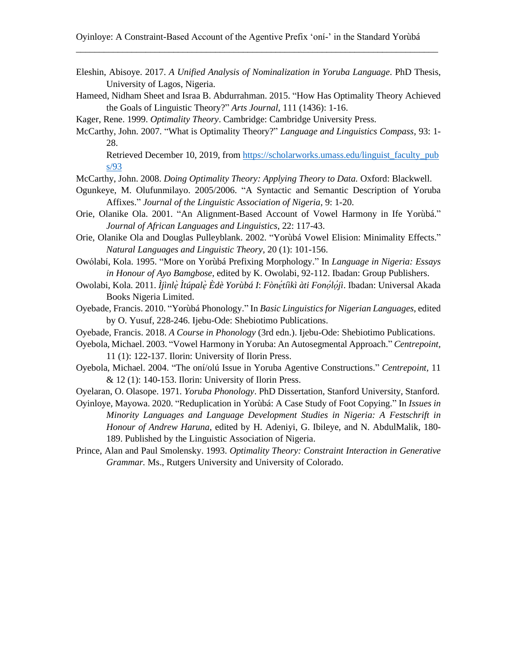Eleshin, Abisoye. 2017. *A Unified Analysis of Nominalization in Yoruba Language*. PhD Thesis, University of Lagos, Nigeria.

\_\_\_\_\_\_\_\_\_\_\_\_\_\_\_\_\_\_\_\_\_\_\_\_\_\_\_\_\_\_\_\_\_\_\_\_\_\_\_\_\_\_\_\_\_\_\_\_\_\_\_\_\_\_\_\_\_\_\_\_\_\_\_\_\_\_\_\_\_\_\_\_\_\_\_\_\_\_

Hameed, Nidham Sheet and Israa B. Abdurrahman. 2015. "How Has Optimality Theory Achieved the Goals of Linguistic Theory?" *Arts Journal*, 111 (1436): 1-16.

Kager, Rene. 1999. *Optimality Theory*. Cambridge: Cambridge University Press.

McCarthy, John. 2007. "What is Optimality Theory?" *Language and Linguistics Compass*, 93: 1- 28.

Retrieved December 10, 2019, from [https://scholarworks.umass.edu/linguist\\_faculty\\_pub](https://scholarworks.umass.edu/linguist_faculty_pubs/93) [s/93](https://scholarworks.umass.edu/linguist_faculty_pubs/93)

McCarthy, John. 2008. *Doing Optimality Theory: Applying Theory to Data.* Oxford: Blackwell.

- Ogunkeye, M. Olufunmilayo. 2005/2006. "A Syntactic and Semantic Description of Yoruba Affixes." *Journal of the Linguistic Association of Nigeria,* 9: 1-20.
- Orie, Olanike Ola. 2001. "An Alignment-Based Account of Vowel Harmony in Ife Yorùbá." *Journal of African Languages and Linguistics*, 22: 117-43.
- Orie, Olanike Ola and Douglas Pulleyblank. 2002. "Yorùbá Vowel Elision: Minimality Effects." *Natural Languages and Linguistic Theory*, 20 (1): 101-156.
- Owólabí, Kola. 1995. "More on Yorùbá Prefixing Morphology." In *Language in Nigeria: Essays in Honour of Ayo Bamgbose*, edited by K. Owolabi, 92-112. Ibadan: Group Publishers.
- Owolabi, Kola. 2011. *Ìjìnlẹ̀ Ìtúpalẹ̀ Èdè Yorùbá I*: *Fònẹ́ tíìkì àti Fonọ́ lọ́ jì*. Ibadan: Universal Akada Books Nigeria Limited.
- Oyebade, Francis. 2010. "Yorùbá Phonology." In *Basic Linguistics for Nigerian Languages*, edited by O. Yusuf, 228-246. Ijebu-Ode: Shebiotimo Publications.
- Oyebade, Francis. 2018. *A Course in Phonology* (3rd edn.). Ijebu-Ode: Shebiotimo Publications.
- Oyebola, Michael. 2003. "Vowel Harmony in Yoruba: An Autosegmental Approach." *Centrepoint,*  11 (1): 122-137. Ilorin: University of Ilorin Press.
- Oyebola, Michael. 2004. "The oní/olú Issue in Yoruba Agentive Constructions." *Centrepoint,* 11 & 12 (1): 140-153. Ilorin: University of Ilorin Press.
- Oyelaran, O. Olasope. 1971. *Yoruba Phonology*. PhD Dissertation, Stanford University, Stanford.

Oyinloye, Mayowa. 2020. "Reduplication in Yorùbá: A Case Study of Foot Copying." In *Issues in Minority Languages and Language Development Studies in Nigeria: A Festschrift in Honour of Andrew Haruna*, edited by H. Adeniyi, G. Ibileye, and N. AbdulMalik, 180- 189. Published by the Linguistic Association of Nigeria.

Prince, Alan and Paul Smolensky. 1993. *Optimality Theory: Constraint Interaction in Generative Grammar.* Ms., Rutgers University and University of Colorado.